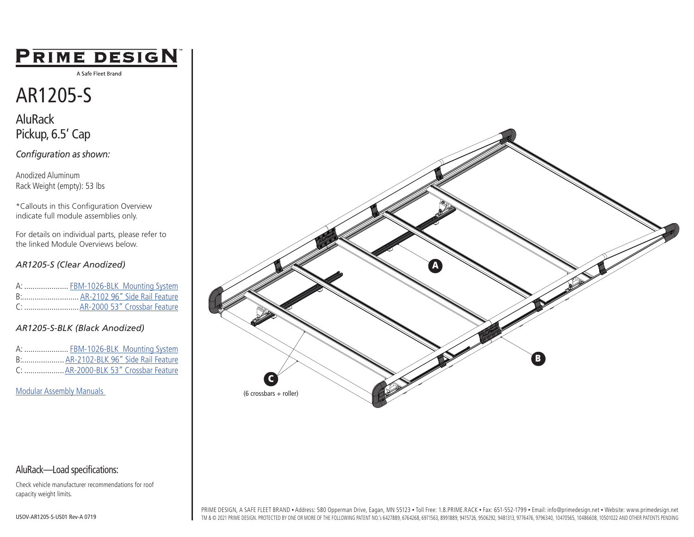### PRIME DESIGN

A Safe Fleet Brand

## AR1205-S

AluRack Pickup, 6.5' Cap

*Configuration as shown:*

Anodized Aluminum Rack Weight (empty): 53 lbs

\*Callouts in this Configuration Overview indicate full module assemblies only.

For details on individual parts, please refer to the linked Module Overviews below.

#### *AR1205-S (Clear Anodized)*

|  | A:  FBM-1026-BLK Mounting System |
|--|----------------------------------|
|  | B: AR-2102 96" Side Rail Feature |
|  |                                  |

#### *AR1205-S-BLK (Black Anodized)*

| A:  FBM-1026-BLK Mounting System    |                                      |
|-------------------------------------|--------------------------------------|
| B AR-2102-BLK 96" Side Rail Feature |                                      |
|                                     | C:  AR-2000-BLK 53" Crossbar Feature |

[Modular Assembly Manuals](https://www.primedesign.net/document-library/#modular-assembly-manuals-tab) 



#### AluRack—Load specifications:

Check vehicle manufacturer recommendations for roof capacity weight limits.